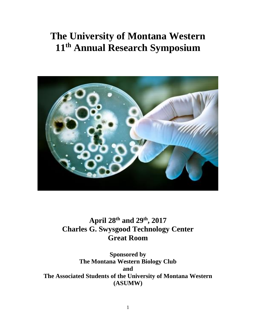# **The University of Montana Western 11 th Annual Research Symposium**



**April 28th and 29th, 2017 Charles G. Swysgood Technology Center Great Room**

**Sponsored by The Montana Western Biology Club and The Associated Students of the University of Montana Western (ASUMW)**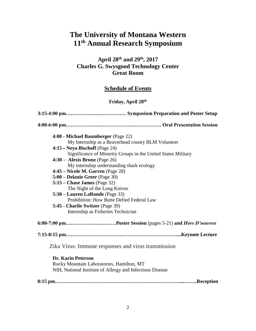# **The University of Montana Western 11th Annual Research Symposium**

# **April 28th and 29th, 2017 Charles G. Swysgood Technology Center Great Room**

# **Schedule of Events**

# **Friday, April 28th**

| 4:00 - Michael Baumberger (Page 22)                                                                                                 |  |  |
|-------------------------------------------------------------------------------------------------------------------------------------|--|--|
| My Internship as a Beaverhead county BLM Volunteer                                                                                  |  |  |
| $4:15$ – Neya Bischoff (Page 24)                                                                                                    |  |  |
| Significance of Minority Groups in the United States Military                                                                       |  |  |
| $4:30 -$ Alexis Brunz (Page 26)                                                                                                     |  |  |
| My internship understanding shark ecology                                                                                           |  |  |
| 4:45 – Nicole M. Garren (Page 28)                                                                                                   |  |  |
| 5:00 – Delanie Greer (Page 30)                                                                                                      |  |  |
| $5:15$ – Chase James (Page 32)                                                                                                      |  |  |
| The Night of the Long Knives                                                                                                        |  |  |
| 5:30 – Lauren LaRonde (Page 33)                                                                                                     |  |  |
| Prohibition: How Butte Defied Federal Law                                                                                           |  |  |
| 5:45 - Charlie Switzer (Page 39)                                                                                                    |  |  |
| Internship as Fisheries Technician                                                                                                  |  |  |
|                                                                                                                                     |  |  |
|                                                                                                                                     |  |  |
| Zika Virus: Immune responses and virus transmission                                                                                 |  |  |
| <b>Dr. Karin Peterson</b><br>Rocky Mountain Laboratories, Hamilton, MT<br>NIH, National Institute of Allergy and Infectious Disease |  |  |
|                                                                                                                                     |  |  |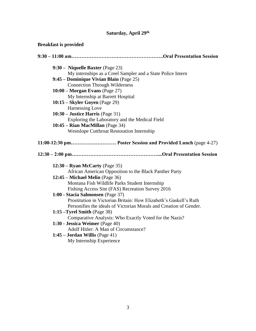# **Saturday, April 29th**

# **Breakfast is provided**

| 9:30 - Niquelle Baxter (Page 23)                                   |
|--------------------------------------------------------------------|
| My internships as a Creel Sampler and a State Police Intern        |
| 9:45 – Dominique Vivian Blain (Page 25)                            |
| <b>Connection Through Wilderness</b>                               |
| $10:00$ – Morgan Evans (Page 27)                                   |
| My Internship at Barrett Hospital                                  |
| $10:15$ – Skyler Goyen (Page 29)                                   |
| Harnessing Love                                                    |
| $10:30$ – Justice Harris (Page 31)                                 |
| Exploring the Laboratory and the Medical Field                     |
| 10:45 - Rian MacMillan (Page 34)                                   |
| <b>Westslope Cutthroat Restoration Internship</b>                  |
| 11:00-12:30 pm Poster Session and Provided Lunch (page 4-27)       |
|                                                                    |
| $12:30 - Ryan$ McCarty (Page 35)                                   |
| African American Opposition to the Black Panther Party             |
| 12:45 - Michael Melin (Page 36)                                    |
| Montana Fish Wildlife Parks Student Internship                     |
| Fishing Access Site (FAS) Recreation Survey 2016                   |
| 1:00 - Stacia Salmonsen (Page 37)                                  |
| Prostitution in Victorian Britain: How Elizabeth's Gaskell's Ruth  |
| Personifies the ideals of Victorian Morals and Creation of Gender. |
| 1:15 $-T$ yrel Smith (Page 38)                                     |
| Comparative Analysis: Who Exactly Voted for the Nazis?             |
| 1:30 - Jessica Weimer (Page 40)                                    |
| Adolf Hitler: A Man of Circumstance?                               |
| $1:45$ – Jordan Willis (Page 41)                                   |
| My Internship Experience                                           |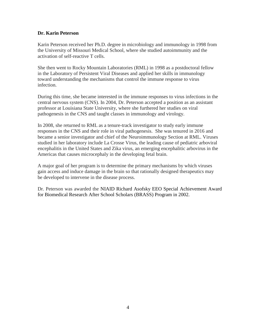# **Dr. Karin Peterson**

Karin Peterson received her Ph.D. degree in microbiology and immunology in 1998 from the University of Missouri Medical School, where she studied autoimmunity and the activation of self-reactive T cells.

She then went to Rocky Mountain Laboratories (RML) in 1998 as a postdoctoral fellow in the Laboratory of Persistent Viral Diseases and applied her skills in immunology toward understanding the mechanisms that control the immune response to virus infection.

During this time, she became interested in the immune responses to virus infections in the central nervous system (CNS). In 2004, Dr. Peterson accepted a position as an assistant professor at Louisiana State University, where she furthered her studies on viral pathogenesis in the CNS and taught classes in immunology and virology.

In 2008, she returned to RML as a tenure-track investigator to study early immune responses in the CNS and their role in viral pathogenesis. She was tenured in 2016 and became a senior investigator and chief of the Neuroimmunology Section at RML. Viruses studied in her laboratory include La Crosse Virus, the leading cause of pediatric arboviral encephalitis in the United States and Zika virus, an emerging encephalitic arbovirus in the Americas that causes microcephaly in the developing fetal brain.

A major goal of her program is to determine the primary mechanisms by which viruses gain access and induce damage in the brain so that rationally designed therapeutics may be developed to intervene in the disease process.

Dr. Peterson was awarded the NIAID Richard Asofsky EEO Special Achievement Award for Biomedical Research After School Scholars (BRASS) Program in 2002.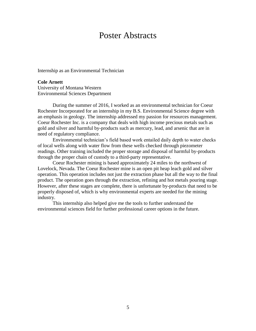# Poster Abstracts

Internship as an Environmental Technician

**Cole Arnett** University of Montana Western Environmental Sciences Department

During the summer of 2016, I worked as an environmental technician for Coeur Rochester Incorporated for an internship in my B.S. Environmental Science degree with an emphasis in geology. The internship addressed my passion for resources management. Coeur Rochester Inc. is a company that deals with high income precious metals such as gold and silver and harmful by-products such as mercury, lead, and arsenic that are in need of regulatory compliance.

Environmental technician's field based work entailed daily depth to water checks of local wells along with water flow from these wells checked through piezometer readings. Other training included the proper storage and disposal of harmful by-products through the proper chain of custody to a third-party representative.

Coeur Rochester mining is based approximately 24 miles to the northwest of Lovelock, Nevada. The Coeur Rochester mine is an open pit heap leach gold and silver operation. This operation includes not just the extraction phase but all the way to the final product. The operation goes through the extraction, refining and hot metals pouring stage. However, after these stages are complete, there is unfortunate by-products that need to be properly disposed of, which is why environmental experts are needed for the mining industry.

This internship also helped give me the tools to further understand the environmental sciences field for further professional career options in the future.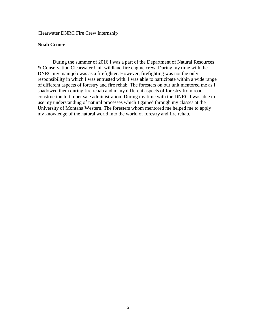Clearwater DNRC Fire Crew Internship

### **Noah Criner**

During the summer of 2016 I was a part of the Department of Natural Resources & Conservation Clearwater Unit wildland fire engine crew. During my time with the DNRC my main job was as a firefighter. However, firefighting was not the only responsibility in which I was entrusted with. I was able to participate within a wide range of different aspects of forestry and fire rehab. The foresters on our unit mentored me as I shadowed them during fire rehab and many different aspects of forestry from road construction to timber sale administration. During my time with the DNRC I was able to use my understanding of natural processes which I gained through my classes at the University of Montana Western. The foresters whom mentored me helped me to apply my knowledge of the natural world into the world of forestry and fire rehab.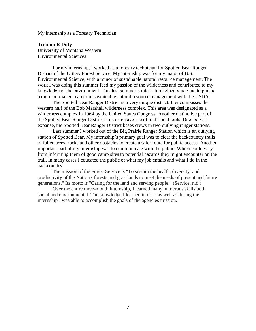My internship as a Forestry Technician

**Trenton R Duty** University of Montana Western Environmental Sciences

For my internship, I worked as a forestry technician for Spotted Bear Ranger District of the USDA Forest Service. My internship was for my major of B.S. Environmental Science, with a minor of sustainable natural resource management. The work I was doing this summer feed my passion of the wilderness and contributed to my knowledge of the environment. This last summer's internship helped guide me to pursue a more permanent career in sustainable natural resource management with the USDA.

The Spotted Bear Ranger District is a very unique district. It encompasses the western half of the Bob Marshall wilderness complex. This area was designated as a wilderness complex in 1964 by the United States Congress. Another distinctive part of the Spotted Bear Ranger District is its extensive use of traditional tools. Due its' vast expanse, the Spotted Bear Ranger District bases crews in two outlying ranger stations.

Last summer I worked out of the Big Prairie Ranger Station which is an outlying station of Spotted Bear. My internship's primary goal was to clear the backcountry trails of fallen trees, rocks and other obstacles to create a safer route for public access. Another important part of my internship was to communicate with the public. Which could vary from informing them of good camp sites to potential hazards they might encounter on the trail. In many cases I educated the public of what my job entails and what I do in the backcountry.

The mission of the Forest Service is "To sustain the health, diversity, and productivity of the Nation's forests and grasslands to meet the needs of present and future generations." Its motto is "Caring for the land and serving people." (Service, n.d.)

Over the entire three-month internship, I learned many numerous skills both social and environmental. The knowledge I learned in class as well as during the internship I was able to accomplish the goals of the agencies mission.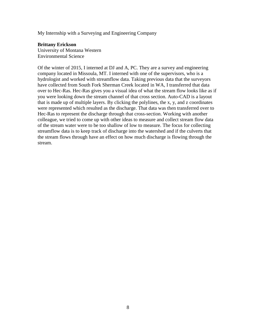My Internship with a Surveying and Engineering Company

### **Brittany Erickson**

University of Montana Western Environmental Science

Of the winter of 2015, I interned at DJ and A, PC. They are a survey and engineering company located in Missoula, MT. I interned with one of the supervisors, who is a hydrologist and worked with streamflow data. Taking previous data that the surveyors have collected from South Fork Sherman Creek located in WA, I transferred that data over to Hec-Ras. Hec-Ras gives you a visual idea of what the stream flow looks like as if you were looking down the stream channel of that cross section. Auto-CAD is a layout that is made up of multiple layers. By clicking the polylines, the x, y, and z coordinates were represented which resulted as the discharge. That data was then transferred over to Hec-Ras to represent the discharge through that cross-section. Working with another colleague, we tried to come up with other ideas to measure and collect stream flow data of the stream water were to be too shallow of low to measure. The focus for collecting streamflow data is to keep track of discharge into the watershed and if the culverts that the stream flows through have an effect on how much discharge is flowing through the stream.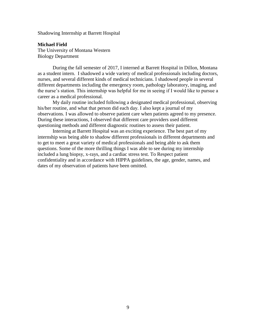Shadowing Internship at Barrett Hospital

**Michael Field** The University of Montana Western Biology Department

During the fall semester of 2017, I interned at Barrett Hospital in Dillon, Montana as a student intern. I shadowed a wide variety of medical professionals including doctors, nurses, and several different kinds of medical technicians. I shadowed people in several different departments including the emergency room, pathology laboratory, imaging, and the nurse's station. This internship was helpful for me in seeing if I would like to pursue a career as a medical professional.

My daily routine included following a designated medical professional, observing his/her routine, and what that person did each day. I also kept a journal of my observations. I was allowed to observe patient care when patients agreed to my presence. During these interactions, I observed that different care providers used different questioning methods and different diagnostic routines to assess their patient.

Interning at Barrett Hospital was an exciting experience. The best part of my internship was being able to shadow different professionals in different departments and to get to meet a great variety of medical professionals and being able to ask them questions. Some of the more thrilling things I was able to see during my internship included a lung biopsy, x-rays, and a cardiac stress test. To Respect patient confidentiality and in accordance with HIPPA guidelines, the age, gender, names, and dates of my observation of patients have been omitted.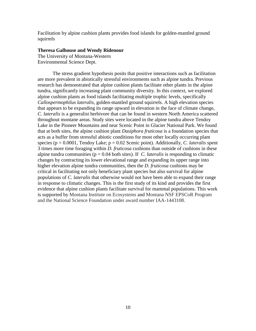Facilitation by alpine cushion plants provides food islands for golden-mantled ground squirrels

#### **Theresa Galhouse and Wendy Ridenour**

The University of Montana-Western Environmental Science Dept.

The stress gradient hypothesis posits that positive interactions such as facilitation are more prevalent in abiotically stressful environments such as alpine tundra. Previous research has demonstrated that alpine cushion plants facilitate other plants in the alpine tundra, significantly increasing plant community diversity. In this context, we explored alpine cushion plants as food islands facilitating multiple trophic levels, specifically *Callospermophilus lateralis*, golden-mantled ground squirrels. A high elevation species that appears to be expanding its range upward in elevation in the face of climate change, *C. lateralis* is a generalist herbivore that can be found in western North America scattered throughout montane areas. Study sites were located in the alpine tundra above Tendoy Lake in the Pioneer Mountains and near Scenic Point in Glacier National Park. We found that at both sites, the alpine cushion plant *Dasiphora fruticosa* is a foundation species that acts as a buffer from stressful abiotic conditions for most other locally occurring plant species ( $p = 0.0001$ , Tendoy Lake;  $p = 0.02$  Scenic point). Additionally, *C. lateralis* spent 3 times more time foraging within *D. fruticosa* cushions than outside of cushions in these alpine tundra communities ( $p = 0.04$  both sites). If *C. lateralis* is responding to climatic changes by contracting its lower elevational range and expanding its upper range into higher elevation alpine tundra communities, then the *D. fruticosa* cushions may be critical in facilitating not only beneficiary plant species but also survival for alpine populations of *C. lateralis* that otherwise would not have been able to expand their range in response to climatic changes. This is the first study of its kind and provides the first evidence that alpine cushion plants facilitate survival for mammal populations. This work is supported by Montana Institute on Ecosystems and Montana NSF EPSCoR Program and the National Science Foundation under award number IAA-1443108.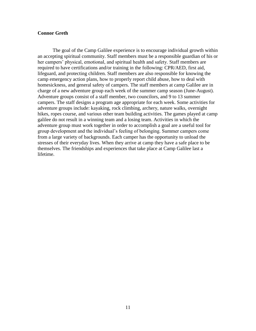### **Connor Greth**

The goal of the Camp Galilee experience is to encourage individual growth within an accepting spiritual community. Staff members must be a responsible guardian of his or her campers' physical, emotional, and spiritual health and safety. Staff members are required to have certifications and/or training in the following: CPR/AED, first aid, lifeguard, and protecting children. Staff members are also responsible for knowing the camp emergency action plans, how to properly report child abuse, how to deal with homesickness, and general safety of campers. The staff members at camp Galilee are in charge of a new adventure group each week of the summer camp season (June-August). Adventure groups consist of a staff member, two councilors, and 9 to 13 summer campers. The staff designs a program age appropriate for each week. Some activities for adventure groups include: kayaking, rock climbing, archery, nature walks, overnight hikes, ropes course, and various other team building activities. The games played at camp galilee do not result in a winning team and a losing team. Activities in which the adventure group must work together in order to accomplish a goal are a useful tool for group development and the individual's feeling of belonging. Summer campers come from a large variety of backgrounds. Each camper has the opportunity to unload the stresses of their everyday lives. When they arrive at camp they have a safe place to be themselves. The friendships and experiences that take place at Camp Galilee last a lifetime.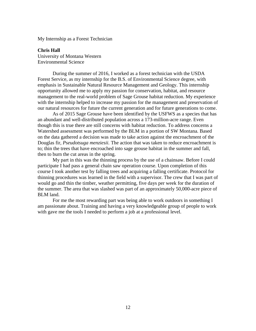My Internship as a Forest Technician

**Chris Hall**  University of Montana Western Environmental Science

During the summer of 2016, I worked as a forest technician with the USDA Forest Service, as my internship for the B.S. of Environmental Science degree, with emphasis in Sustainable Natural Resource Management and Geology. This internship opportunity allowed me to apply my passion for conservation, habitat, and resource management to the real-world problem of Sage Grouse habitat reduction. My experience with the internship helped to increase my passion for the management and preservation of our natural resources for future the current generation and for future generations to come.

As of 2015 Sage Grouse have been identified by the USFWS as a species that has an abundant and well-distributed population across a 173-million-acre range. Even though this is true there are still concerns with habitat reduction. To address concerns a Watershed assessment was performed by the BLM in a portion of SW Montana. Based on the data gathered a decision was made to take action against the encroachment of the Douglas fir, *Pseudotsuga menziesii.* The action that was taken to reduce encroachment is to; thin the trees that have encroached into sage grouse habitat in the summer and fall, then to burn the cut areas in the spring.

My part in this was the thinning process by the use of a chainsaw. Before I could participate I had pass a general chain saw operation course. Upon completion of this course I took another test by falling trees and acquiring a falling certificate. Protocol for thinning procedures was learned in the field with a supervisor. The crew that I was part of would go and thin the timber, weather permitting, five days per week for the duration of the summer. The area that was slashed was part of an approximately 50,000-acre piece of BLM land.

For me the most rewarding part was being able to work outdoors in something I am passionate about. Training and having a very knowledgeable group of people to work with gave me the tools I needed to perform a job at a professional level.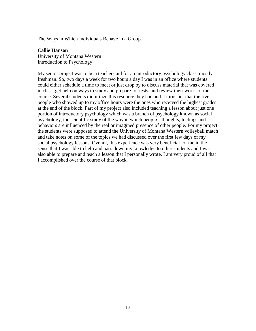The Ways in Which Individuals Behave in a Group

### **Callie Hanson**

University of Montana Western Introduction to Psychology

My senior project was to be a teachers aid for an introductory psychology class, mostly freshman. So, two days a week for two hours a day I was in an office where students could either schedule a time to meet or just drop by to discuss material that was covered in class, get help on ways to study and prepare for tests, and review their work for the course. Several students did utilize this resource they had and it turns out that the five people who showed up to my office hours were the ones who received the highest grades at the end of the block. Part of my project also included teaching a lesson about just one portion of introductory psychology which was a branch of psychology known as social psychology, the scientific study of the way in which people's thoughts, feelings and behaviors are influenced by the real or imagined presence of other people. For my project the students were supposed to attend the University of Montana Western volleyball match and take notes on some of the topics we had discussed over the first few days of my social psychology lessons. Overall, this experience was very beneficial for me in the sense that I was able to help and pass down my knowledge to other students and I was also able to prepare and teach a lesson that I personally wrote. I am very proud of all that I accomplished over the course of that block.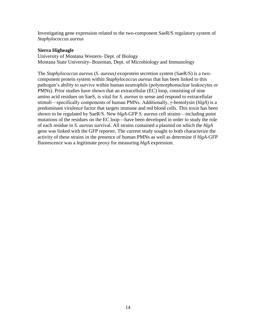Investigating gene expression related to the two-component SaeR/S regulatory system of *Staphylococcus aureus*

# **Sierra Higheagle**

University of Montana Western- Dept. of Biology Montana State University- Bozeman, Dept. of Microbiology and Immunology

The *Staphylococcus aureus* (*S. aureus)* exoprotein secretion system (SaeR/S) is a twocomponent protein system within *Staphylococcus aureus* that has been linked to this pathogen's ability to survive within human neutrophils (polymorphonuclear leukocytes or PMNs). Prior studies have shown that an extracellular (EC) loop, consisting of nine amino acid residues on SaeS, is vital for *S. aureus* to sense and respond to extracellular stimuli—specifically components of human PMNs. Additionally, γ-hemolysin (*hlgA*) is a predominant virulence factor that targets immune and red blood cells. This toxin has been shown to be regulated by SaeR/S. New *hlgA*-GFP *S. aureus* cell strains—including point mutations of the residues on the EC loop—have been developed in order to study the role of each residue in *S. aureus* survival. All strains contained a plasmid on which the *hlgA*  gene was linked with the GFP reporter. The current study sought to both characterize the activity of these strains in the presence of human PMNs as well as determine if *hlgA*-GFP fluorescence was a legitimate proxy for measuring *hlgA* expression.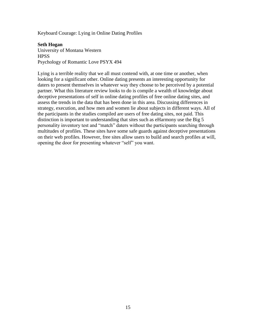Keyboard Courage: Lying in Online Dating Profiles

### **Seth Hogan**

University of Montana Western **HPSS** Psychology of Romantic Love PSYX 494

Lying is a terrible reality that we all must contend with, at one time or another, when looking for a significant other. Online dating presents an interesting opportunity for daters to present themselves in whatever way they choose to be perceived by a potential partner. What this literature review looks to do is compile a wealth of knowledge about deceptive presentations of self in online dating profiles of free online dating sites, and assess the trends in the data that has been done in this area. Discussing differences in strategy, execution, and how men and women lie about subjects in different ways. All of the participants in the studies compiled are users of free dating sites, not paid. This distinction is important to understanding that sites such as eHarmony use the Big 5 personality inventory test and "match" daters without the participants searching through multitudes of profiles. These sites have some safe guards against deceptive presentations on their web profiles. However, free sites allow users to build and search profiles at will, opening the door for presenting whatever "self" you want.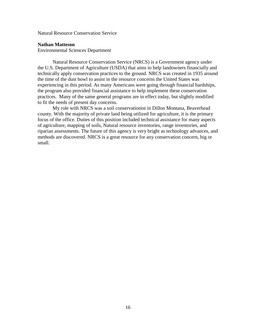Natural Resource Conservation Service

#### **Nathan Matteson**

Environmental Sciences Department

Natural Resource Conservation Service (NRCS) is a Government agency under the U.S. Department of Agriculture (USDA) that aims to help landowners financially and technically apply conservation practices to the ground. NRCS was created in 1935 around the time of the dust bowl to assist in the resource concerns the United States was experiencing in this period. As many Americans were going through financial hardships, the program also provided financial assistance to help implement these conservation practices. Many of the same general programs are in effect today, but slightly modified to fit the needs of present day concerns.

My role with NRCS was a soil conservationist in Dillon Montana, Beaverhead county. With the majority of private land being utilized for agriculture, it is the primary focus of the office. Duties of this position included technical assistance for many aspects of agriculture, mapping of soils, Natural resource inventories, range inventories, and riparian assessments. The future of this agency is very bright as technology advances, and methods are discovered. NRCS is a great resource for any conservation concern, big or small.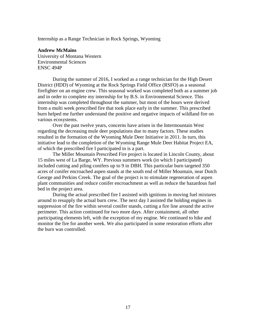Internship as a Range Technician in Rock Springs, Wyoming

# **Andrew McMains**

University of Montana Western Environmental Sciences ENSC 494P

During the summer of 2016, I worked as a range technician for the High Desert District (HDD) of Wyoming at the Rock Springs Field Office (RSFO) as a seasonal firefighter on an engine crew. This seasonal worked was completed both as a summer job and in order to complete my internship for by B.S. in Environmental Science. This internship was completed throughout the summer, but most of the hours were derived from a multi week prescribed fire that took place early in the summer. This prescribed burn helped me further understand the positive and negative impacts of wildland fire on various ecosystems.

Over the past twelve years, concerns have arisen in the Intermountain West regarding the decreasing mule deer populations due to many factors. These studies resulted in the formation of the Wyoming Mule Deer Initiative in 2011. In turn, this initiative lead to the completion of the Wyoming Range Mule Deer Habitat Project EA, of which the prescribed fire I participated in is a part.

The Miller Mountain Prescribed Fire project is located in Lincoln County, about 15 miles west of La Barge, WY. Previous summers work (in which I participated) included cutting and piling conifers up to 9 in DBH. This particular burn targeted 350 acres of conifer encroached aspen stands at the south end of Miller Mountain, near Dutch George and Perkins Creek. The goal of the project is to stimulate regeneration of aspen plant communities and reduce conifer encroachment as well as reduce the hazardous fuel bed in the project area.

During the actual prescribed fire I assisted with ignitions in moving fuel mixtures around to resupply the actual burn crew. The next day I assisted the holding engines in suppression of the fire within several conifer stands, cutting a fire line around the active perimeter. This action continued for two more days. After containment, all other participating elements left, with the exception of my engine. We continued to hike and monitor the fire for another week. We also participated in some restoration efforts after the burn was controlled.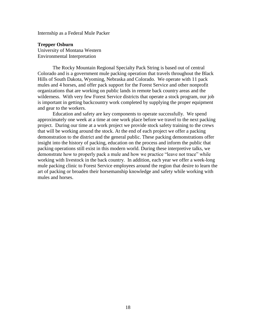Internship as a Federal Mule Packer

**Trepper Osburn** University of Montana Western Environmental Interpretation

The Rocky Mountain Regional Specialty Pack String is based out of central Colorado and is a government mule packing operation that travels throughout the Black Hills of South Dakota, Wyoming, Nebraska and Colorado. We operate with 11 pack mules and 4 horses, and offer pack support for the Forest Service and other nonprofit organizations that are working on public lands in remote back country areas and the wilderness. With very few Forest Service districts that operate a stock program, our job is important in getting backcountry work completed by supplying the proper equipment and gear to the workers.

Education and safety are key components to operate successfully. We spend approximately one week at a time at one work place before we travel to the next packing project. During our time at a work project we provide stock safety training to the crews that will be working around the stock. At the end of each project we offer a packing demonstration to the district and the general public. These packing demonstrations offer insight into the history of packing, education on the process and inform the public that packing operations still exist in this modern world. During these interpretive talks, we demonstrate how to properly pack a mule and how we practice "leave not trace" while working with livestock in the back country. In addition, each year we offer a week-long mule packing clinic to Forest Service employees around the region that desire to learn the art of packing or broaden their horsemanship knowledge and safety while working with mules and horses.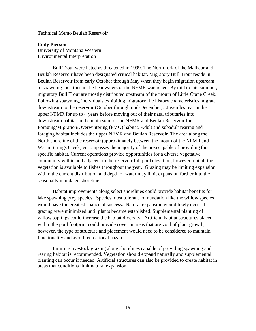Technical Memo Beulah Reservoir

**Cody Pierson** University of Montana Western Environmental Interpretation

Bull Trout were listed as threatened in 1999. The North fork of the Malheur and Beulah Reservoir have been designated critical habitat. Migratory Bull Trout reside in Beulah Reservoir from early October through May when they begin migration upstream to spawning locations in the headwaters of the NFMR watershed. By mid to late summer, migratory Bull Trout are mostly distributed upstream of the mouth of Little Crane Creek. Following spawning, individuals exhibiting migratory life history characteristics migrate downstream to the reservoir (October through mid-December). Juveniles rear in the upper NFMR for up to 4 years before moving out of their natal tributaries into downstream habitat in the main stem of the NFMR and Beulah Reservoir for Foraging/Migration/Overwintering (FMO) habitat. Adult and subadult rearing and foraging habitat includes the upper NFMR and Beulah Reservoir. The area along the North shoreline of the reservoir (approximately between the mouth of the NFMR and Warm Springs Creek) encompasses the majority of the area capable of providing this specific habitat. Current operations provide opportunities for a diverse vegetative community within and adjacent to the reservoir full pool elevation; however, not all the vegetation is available to fishes throughout the year. Grazing may be limiting expansion within the current distribution and depth of water may limit expansion further into the seasonally inundated shoreline.

Habitat improvements along select shorelines could provide habitat benefits for lake spawning prey species. Species most tolerant to inundation like the willow species would have the greatest chance of success. Natural expansion would likely occur if grazing were minimized until plants became established. Supplemental planting of willow saplings could increase the habitat diversity. Artificial habitat structures placed within the pool footprint could provide cover in areas that are void of plant growth; however, the type of structure and placement would need to be considered to maintain functionality and avoid recreational hazards.

Limiting livestock grazing along shorelines capable of providing spawning and rearing habitat is recommended. Vegetation should expand naturally and supplemental planting can occur if needed. Artificial structures can also be provided to create habitat in areas that conditions limit natural expansion.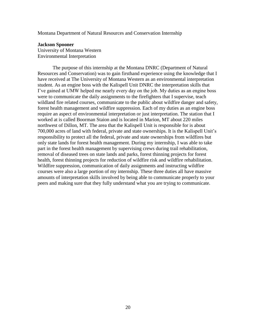Montana Department of Natural Resources and Conservation Internship

#### **Jackson Spooner**

University of Montana Western Environmental Interpretation

The purpose of this internship at the Montana DNRC (Department of Natural Resources and Conservation) was to gain firsthand experience using the knowledge that I have received at The University of Montana Western as an environmental interpretation student. As an engine boss with the Kalispell Unit DNRC the interpretation skills that I've gained at UMW helped me nearly every day on the job. My duties as an engine boss were to communicate the daily assignments to the firefighters that I supervise, teach wildland fire related courses, communicate to the public about wildfire danger and safety, forest health management and wildfire suppression. Each of my duties as an engine boss require an aspect of environmental interpretation or just interpretation. The station that I worked at is called Boorman Staion and is located in Marion, MT about 220 miles northwest of Dillon, MT. The area that the Kalispell Unit is responsible for is about 700,000 acres of land with federal, private and state ownerships. It is the Kalispell Unit's responsibility to protect all the federal, private and state ownerships from wildfires but only state lands for forest health management. During my internship, I was able to take part in the forest health management by supervising crews during trail rehabilitation, removal of diseased trees on state lands and parks, forest thinning projects for forest health, forest thinning projects for reduction of wildfire risk and wildfire rehabilitation. Wildfire suppression, communication of daily assignments and instructing wildfire courses were also a large portion of my internship. These three duties all have massive amounts of interpretation skills involved by being able to communicate properly to your peers and making sure that they fully understand what you are trying to communicate.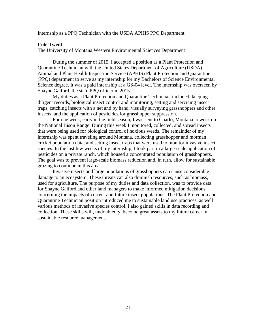#### Internship as a PPQ Technician with the USDA APHIS PPQ Department

#### **Cole Twedt**

The University of Montana Western Environmental Sciences Department

During the summer of 2015, I accepted a position as a Plant Protection and Quarantine Technician with the United States Department of Agriculture (USDA) Animal and Plant Health Inspection Service (APHIS) Plant Protection and Quarantine (PPQ) department to serve as my internship for my Bachelors of Science Environmental Science degree. It was a paid internship at a GS-04 level. The internship was overseen by Shayne Galford, the state PPQ officer in 2015.

My duties as a Plant Protection and Quarantine Technician included, keeping diligent records, biological insect control and monitoring, setting and servicing insect traps, catching insects with a net and by hand, visually surveying grasshoppers and other insects, and the application of pesticides for grasshopper suppression.

For one week, early in the field season, I was sent to Charlo, Montana to work on the National Bison Range. During this week I monitored, collected, and spread insects that were being used for biological control of noxious weeds. The remainder of my internship was spent traveling around Montana, collecting grasshopper and morman cricket population data, and setting insect traps that were used to monitor invasive insect species. In the last few weeks of my internship, I took part in a large-scale application of pesticides on a private ranch, which housed a concentrated population of grasshoppers. The goal was to prevent large-scale biomass reduction and, in turn, allow for sustainable grazing to continue in this area.

Invasive insects and large populations of grasshoppers can cause considerable damage to an ecosystem. These threats can also diminish resources, such as biomass, used for agriculture. The purpose of my duties and data collection, was to provide data for Shayne Galford and other land managers to make informed mitigation decisions concerning the impacts of current and future insect populations. The Plant Protection and Quarantine Technician position introduced me to sustainable land use practices, as well various methods of invasive species control. I also gained skills in data recording and collection. These skills will, undoubtedly, become great assets to my future career in sustainable resource management.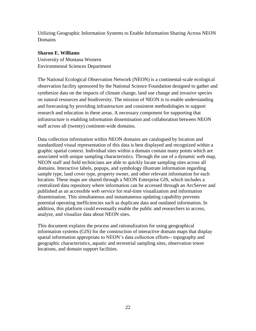Utilizing Geographic Information Systems to Enable Information Sharing Across NEON Domains

# **Sharon E. Williams**

University of Montana Western Environmental Sciences Department

The National Ecological Observation Network (NEON) is a continental-scale ecological observation facility sponsored by the National Science Foundation designed to gather and synthesize data on the impacts of climate change, land use change and invasive species on natural resources and biodiversity. The mission of NEON is to enable understanding and forecasting by providing infrastructure and consistent methodologies to support research and education in these areas. A necessary component for supporting that infrastructure is enabling information dissemination and collaboration between NEON staff across all (twenty) continent-wide domains.

Data collection information within NEON domains are catalogued by location and standardized visual representation of this data is best displayed and recognized within a graphic spatial context. Individual sites within a domain contain many points which are associated with unique sampling characteristics. Through the use of a dynamic web map, NEON staff and field technicians are able to quickly locate sampling sites across all domains. Interactive labels, popups, and symbology illustrate information regarding sample type, land cover type, property owner, and other relevant information for each location. These maps are shared through a NEON Enterprise GIS, which includes a centralized data repository where information can be accessed through an ArcServer and published as an accessible web service for real-time visualization and information dissemination. This simultaneous and instantaneous updating capability prevents potential operating inefficiencies such as duplicate data and outdated information. In addition, this platform could eventually enable the public and researchers to access, analyze, and visualize data about NEON sites.

This document explains the process and rationalization for using geographical information systems (GIS) for the construction of interactive domain maps that display spatial information appropriate to NEON's data collection efforts-- topography and geographic characteristics, aquatic and terrestrial sampling sites, observation tower locations, and domain support facilities.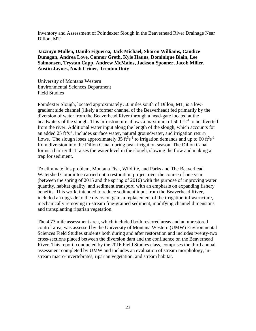Inventory and Assessment of Poindexter Slough in the Beaverhead River Drainage Near Dillon, MT

**Jazzmyn Mullen, Danilo Figueroa, Jack Michael, Sharon Williams, Candice Dunagan, Andrea Love, Connor Greth, Kyle Hauns, Dominique Blain, Lee Salmonsen, Trystan Capp, Andrew McMains, Jackson Spooner, Jacob Miller, Austin Jaynes, Noah Criner, Trenton Duty**

University of Montana Western Environmental Sciences Department Field Studies

Poindexter Slough, located approximately 3.0 miles south of Dillon, MT, is a lowgradient side channel (likely a former channel of the Beaverhead) fed primarily by the diversion of water from the Beaverhead River through a head-gate located at the headwaters of the slough. This infrastructure allows a maximum of 50  $ft<sup>3</sup>s<sup>-1</sup>$  to be diverted from the river. Additional water input along the length of the slough, which accounts for an added  $25 \text{ ft}^3 \text{s}^{-1}$ , includes surface water, natural groundwater, and irrigation return flows. The slough loses approximately 35 ft<sup>3</sup>s<sup>-1</sup> to irrigation demands and up to 60 ft<sup>3</sup>s<sup>-1</sup> from diversion into the Dillon Canal during peak irrigation season. The Dillon Canal forms a barrier that raises the water level in the slough, slowing the flow and making a trap for sediment.

To eliminate this problem, Montana Fish, Wildlife, and Parks and The Beaverhead Watershed Committee carried out a restoration project over the course of one year (between the spring of 2015 and the spring of 2016) with the purpose of improving water quantity, habitat quality, and sediment transport, with an emphasis on expanding fishery benefits. This work, intended to reduce sediment input from the Beaverhead River, included an upgrade to the diversion gate, a replacement of the irrigation infrastructure, mechanically removing in-stream fine-grained sediment, modifying channel dimensions and transplanting riparian vegetation.

The 4.73 mile assessment area, which included both restored areas and an unrestored control area, was assessed by the University of Montana Western (UMW) Environmental Sciences Field Studies students both during and after restoration and includes twenty-two cross-sections placed between the diversion dam and the confluence on the Beaverhead River. This report, conducted by the 2016 Field Studies class, comprises the third annual assessment completed by UMW and includes an evaluation of stream morphology, instream macro-invertebrates, riparian vegetation, and stream habitat.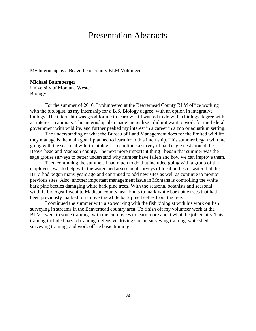# Presentation Abstracts

My Internship as a Beaverhead county BLM Volunteer

#### **Michael Baumberger**

University of Montana Western Biology

For the summer of 2016, I volunteered at the Beaverhead County BLM office working with the biologist, as my internship for a B.S. Biology degree, with an option in integrative biology. The internship was good for me to learn what I wanted to do with a biology degree with an interest in animals. This internship also made me realize I did not want to work for the federal government with wildlife, and further peaked my interest in a career in a zoo or aquarium setting.

The understanding of what the Bureau of Land Management does for the limited wildlife they manage is the main goal I planned to learn from this internship. This summer began with me going with the seasonal wildlife biologist to continue a survey of bald eagle nest around the Beaverhead and Madison county. The next more important thing I began that summer was the sage grouse surveys to better understand why number have fallen and how we can improve them.

Then continuing the summer, I had much to do that included going with a group of the employees was to help with the watershed assessment surveys of local bodies of water that the BLM had begun many years ago and continued to add new sites as well as continue to monitor previous sites. Also, another important management issue in Montana is controlling the white bark pine beetles damaging white bark pine trees. With the seasonal botanists and seasonal wildlife biologist I went to Madison county near Ennis to mark white bark pine trees that had been previously marked to remove the white bark pine beetles from the tree.

I continued the summer with also working with the fish biologist with his work on fish surveying in streams in the Beaverhead country area. To finish off my volunteer work at the BLM I went to some trainings with the employees to learn more about what the job entails. This training included hazard training, defensive driving stream surveying training, watershed surveying training, and work office basic training.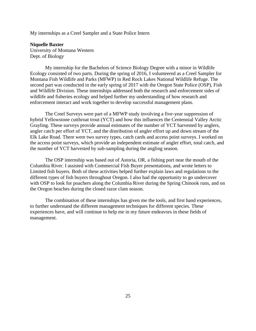My internships as a Creel Sampler and a State Police Intern

#### **Niquelle Baxter**

University of Montana Western Dept. of Biology

My internship for the Bachelors of Science Biology Degree with a minor in Wildlife Ecology consisted of two parts. During the spring of 2016, I volunteered as a Creel Sampler for Montana Fish Wildlife and Parks (MFWP) in Red Rock Lakes National Wildlife Refuge. The second part was conducted in the early spring of 2017 with the Oregon State Police (OSP), Fish and Wildlife Division. These internships addressed both the research and enforcement sides of wildlife and fisheries ecology and helped further my understanding of how research and enforcement interact and work together to develop successful management plans.

The Creel Surveys were part of a MFWP study involving a five-year suppression of hybrid Yellowstone cutthroat trout (YCT) and how this influences the Centennial Valley Arctic Grayling. These surveys provide annual estimates of the number of YCT harvested by anglers, angler catch per effort of YCT, and the distribution of angler effort up and down stream of the Elk Lake Road. There were two survey types, catch cards and access point surveys. I worked on the access point surveys, which provide an independent estimate of angler effort, total catch, and the number of YCT harvested by sub-sampling during the angling season.

The OSP internship was based out of Astoria, OR, a fishing port near the mouth of the Columbia River. I assisted with Commercial Fish Buyer presentations, and wrote letters to Limited fish buyers. Both of these activities helped further explain laws and regulations to the different types of fish buyers throughout Oregon. I also had the opportunity to go undercover with OSP to look for poachers along the Columbia River during the Spring Chinook runs, and on the Oregon beaches during the closed razor clam season.

The combination of these internships has given me the tools, and first hand experiences, to further understand the different management techniques for different species. These experiences have, and will continue to help me in my future endeavors in these fields of management.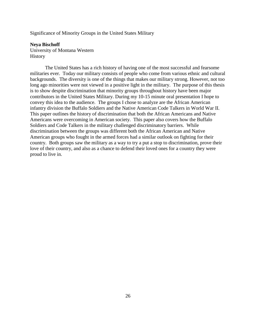Significance of Minority Groups in the United States Military

#### **Neya Bischoff**

University of Montana Western **History** 

The United States has a rich history of having one of the most successful and fearsome militaries ever. Today our military consists of people who come from various ethnic and cultural backgrounds. The diversity is one of the things that makes our military strong. However, not too long ago minorities were not viewed in a positive light in the military. The purpose of this thesis is to show despite discrimination that minority groups throughout history have been major contributors in the United States Military. During my 10-15 minute oral presentation I hope to convey this idea to the audience. The groups I chose to analyze are the African American infantry division the Buffalo Soldiers and the Native American Code Talkers in World War II. This paper outlines the history of discrimination that both the African Americans and Native Americans were overcoming in American society. This paper also covers how the Buffalo Soldiers and Code Talkers in the military challenged discriminatory barriers. While discrimination between the groups was different both the African American and Native American groups who fought in the armed forces had a similar outlook on fighting for their country. Both groups saw the military as a way to try a put a stop to discrimination, prove their love of their country, and also as a chance to defend their loved ones for a country they were proud to live in.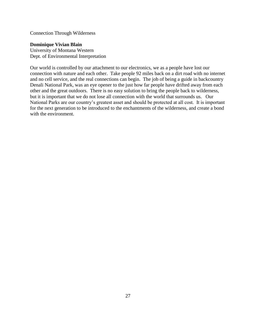Connection Through Wilderness

### **Dominique Vivian Blain**

University of Montana Western Dept. of Environmental Interpretation

Our world is controlled by our attachment to our electronics, we as a people have lost our connection with nature and each other. Take people 92 miles back on a dirt road with no internet and no cell service, and the real connections can begin. The job of being a guide in backcountry Denali National Park, was an eye opener to the just how far people have drifted away from each other and the great outdoors. There is no easy solution to bring the people back to wilderness, but it is important that we do not lose all connection with the world that surrounds us. Our National Parks are our country's greatest asset and should be protected at all cost. It is important for the next generation to be introduced to the enchantments of the wilderness, and create a bond with the environment.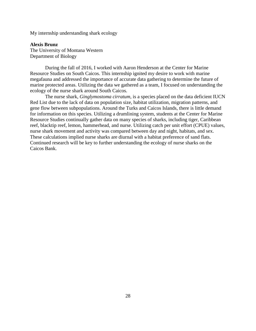My internship understanding shark ecology

**Alexis Brunz**

The University of Montana Western Department of Biology

During the fall of 2016, I worked with Aaron Henderson at the Center for Marine Resource Studies on South Caicos. This internship ignited my desire to work with marine megafauna and addressed the importance of accurate data gathering to determine the future of marine protected areas. Utilizing the data we gathered as a team, I focused on understanding the ecology of the nurse shark around South Caicos.

The nurse shark, *Ginglymostoma cirratum*, is a species placed on the data deficient IUCN Red List due to the lack of data on population size, habitat utilization, migration patterns, and gene flow between subpopulations. Around the Turks and Caicos Islands, there is little demand for information on this species. Utilizing a drumlining system, students at the Center for Marine Resource Studies continually gather data on many species of sharks, including tiger, Caribbean reef, blacktip reef, lemon, hammerhead, and nurse. Utilizing catch per unit effort (CPUE) values, nurse shark movement and activity was compared between day and night, habitats, and sex. These calculations implied nurse sharks are diurnal with a habitat preference of sand flats. Continued research will be key to further understanding the ecology of nurse sharks on the Caicos Bank.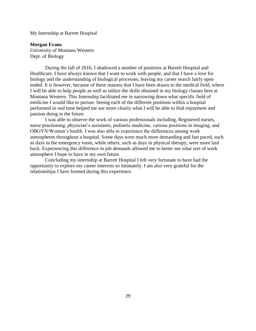My Internship at Barrett Hospital

**Morgan Evans**  University of Montana Western Dept. of Biology

During the fall of 2016, I shadowed a number of positions at Barrett Hospital and Healthcare. I have always known that I want to work with people, and that I have a love for biology and the understanding of biological processes, leaving my career search fairly open ended. It is however, because of these reasons that I have been drawn to the medical field, where I will be able to help people as well as utilize the skills obtained in my biology classes here at Montana Western. This Internship facilitated me in narrowing down what specific field of medicine I would like to pursue. Seeing each of the different positions within a hospital performed in real time helped me see more clearly what I will be able to find enjoyment and passion doing in the future.

I was able to observe the work of various professionals including, Registered nurses, nurse practioning, physician's assistants, pediatric medicine, various positions in imaging, and OBGYN/Women's health. I was also able to experience the differences among work atmospheres throughout a hospital. Some days were much more demanding and fast paced, such as days in the emergency room, while others, such as days in physical therapy, were more laid back. Experiencing this difference in job demands allowed me to better see what sort of work atmosphere I hope to have in my own future.

Concluding my internship at Barrett Hospital I felt very fortunate to have had the opportunity to explore my career interests so intimately. I am also very grateful for the relationships I have formed during this experience.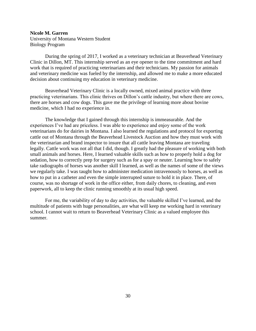# **Nicole M. Garren** University of Montana Western Student Biology Program

During the spring of 2017, I worked as a veterinary technician at Beaverhead Veterinary Clinic in Dillon, MT. This internship served as an eye opener to the time commitment and hard work that is required of practicing veterinarians and their technicians. My passion for animals and veterinary medicine was fueled by the internship, and allowed me to make a more educated decision about continuing my education in veterinary medicine.

Beaverhead Veterinary Clinic is a locally owned, mixed animal practice with three practicing veterinarians. This clinic thrives on Dillon's cattle industry, but where there are cows, there are horses and cow dogs. This gave me the privilege of learning more about bovine medicine, which I had no experience in.

The knowledge that I gained through this internship is immeasurable. And the experiences I've had are priceless. I was able to experience and enjoy some of the work veterinarians do for dairies in Montana. I also learned the regulations and protocol for exporting cattle out of Montana through the Beaverhead Livestock Auction and how they must work with the veterinarian and brand inspector to insure that all cattle leaving Montana are traveling legally. Cattle work was not all that I did, though. I greatly had the pleasure of working with both small animals and horses. Here, I learned valuable skills such as how to properly hold a dog for sedation, how to correctly prep for surgery such as for a spay or neuter. Learning how to safely take radiographs of horses was another skill I learned, as well as the names of some of the views we regularly take. I was taught how to administer medication intravenously to horses, as well as how to put in a catheter and even the simple interrupted suture to hold it in place. There, of course, was no shortage of work in the office either, from daily chores, to cleaning, and even paperwork, all to keep the clinic running smoothly at its usual high speed.

For me, the variability of day to day activities, the valuable skilled I've learned, and the multitude of patients with huge personalities, are what will keep me working hard in veterinary school. I cannot wait to return to Beaverhead Veterinary Clinic as a valued employee this summer.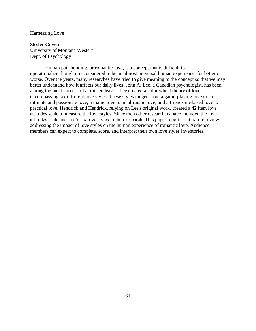#### Harnessing Love

#### **Skyler Goyen**

University of Montana Western Dept. of Psychology

Human pair-bonding, or romantic love, is a concept that is difficult to operationalize though it is considered to be an almost universal human experience, for better or worse. Over the years, many researches have tried to give meaning to the concept so that we may better understand how it affects our daily lives. John A. Lee, a Canadian psychologist, has been among the most successful at this endeavor. Lee created a color wheel theory of love encompassing six different love styles. These styles ranged from a game-playing love to an intimate and passionate love; a manic love to an altruistic love; and a friendship-based love to a practical love. Hendrick and Hendrick, relying on Lee's original work, created a 42 item love attitudes scale to measure the love styles. Since then other researchers have included the love attitudes scale and Lee's six love styles in their research. This paper reports a literature review addressing the impact of love styles on the human experience of romantic love. Audience members can expect to complete, score, and interpret their own love styles inventories.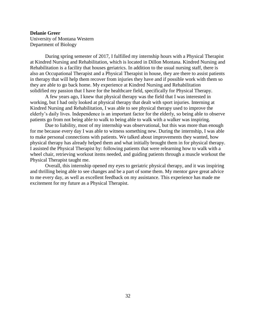#### **Delanie Greer**

University of Montana Western Department of Biology

During spring semester of 2017, I fulfilled my internship hours with a Physical Therapist at Kindred Nursing and Rehabilitation, which is located in Dillon Montana. Kindred Nursing and Rehabilitation is a facility that houses geriatrics. In addition to the usual nursing staff, there is also an Occupational Therapist and a Physical Therapist in house, they are there to assist patients in therapy that will help them recover from injuries they have and if possible work with them so they are able to go back home. My experience at Kindred Nursing and Rehabilitation solidified my passion that I have for the healthcare field, specifically for Physical Therapy.

 A few years ago, I knew that physical therapy was the field that I was interested in working, but I had only looked at physical therapy that dealt with sport injuries. Interning at Kindred Nursing and Rehabilitation, I was able to see physical therapy used to improve the elderly's daily lives. Independence is an important factor for the elderly, so being able to observe patients go from not being able to walk to being able to walk with a walker was inspiring.

 Due to liability, most of my internship was observational, but this was more than enough for me because every day I was able to witness something new. During the internship, I was able to make personal connections with patients. We talked about improvements they wanted, how physical therapy has already helped them and what initially brought them in for physical therapy. I assisted the Physical Therapist by: following patients that were relearning how to walk with a wheel chair, retrieving workout items needed, and guiding patients through a muscle workout the Physical Therapist taught me.

 Overall, this internship opened my eyes to geriatric physical therapy, and it was inspiring and thrilling being able to see changes and be a part of some them. My mentor gave great advice to me every day, as well as excellent feedback on my assistance. This experience has made me excitement for my future as a Physical Therapist.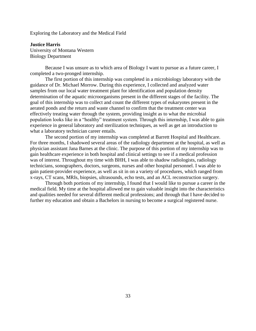Exploring the Laboratory and the Medical Field

**Justice Harris** University of Montana Western Biology Department

Because I was unsure as to which area of Biology I want to pursue as a future career, I completed a two-pronged internship.

The first portion of this internship was completed in a microbiology laboratory with the guidance of Dr. Michael Morrow. During this experience, I collected and analyzed water samples from our local water treatment plant for identification and population density determination of the aquatic microorganisms present in the different stages of the facility. The goal of this internship was to collect and count the different types of eukaryotes present in the aerated ponds and the return and waste channel to confirm that the treatment center was effectively treating water through the system, providing insight as to what the microbial population looks like in a "healthy" treatment system. Through this internship, I was able to gain experience in general laboratory and sterilization techniques, as well as get an introduction to what a laboratory technician career entails.

The second portion of my internship was completed at Barrett Hospital and Healthcare. For three months, I shadowed several areas of the radiology department at the hospital, as well as physician assistant Jana Barnes at the clinic. The purpose of this portion of my internship was to gain healthcare experience in both hospital and clinical settings to see if a medical profession was of interest. Throughout my time with BHH, I was able to shadow radiologists, radiology technicians, sonographers, doctors, surgeons, nurses and other hospital personnel. I was able to gain patient-provider experience, as well as sit in on a variety of procedures, which ranged from x-rays, CT scans, MRIs, biopsies, ultrasounds, echo tests, and an ACL reconstruction surgery.

Through both portions of my internship, I found that I would like to pursue a career in the medical field. My time at the hospital allowed me to gain valuable insight into the characteristics and qualities needed for several different medical professions; and through that I have decided to further my education and obtain a Bachelors in nursing to become a surgical registered nurse.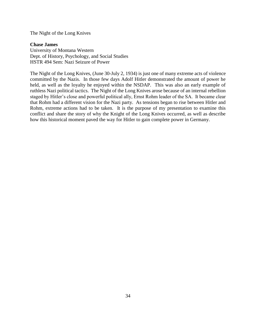The Night of the Long Knives

#### **Chase James**

University of Montana Western Dept. of History, Psychology, and Social Studies HSTR 494 Sem: Nazi Seizure of Power

The Night of the Long Knives, (June 30-July 2, 1934) is just one of many extreme acts of violence committed by the Nazis. In those few days Adolf Hitler demonstrated the amount of power he held, as well as the loyalty he enjoyed within the NSDAP. This was also an early example of ruthless Nazi political tactics. The Night of the Long Knives arose because of an internal rebellion staged by Hitler's close and powerful political ally, Ernst Rohm leader of the SA. It became clear that Rohm had a different vision for the Nazi party. As tensions began to rise between Hitler and Rohm, extreme actions had to be taken. It is the purpose of my presentation to examine this conflict and share the story of why the Knight of the Long Knives occurred, as well as describe how this historical moment paved the way for Hitler to gain complete power in Germany.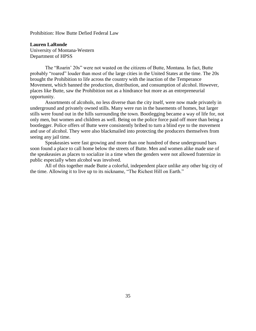Prohibition: How Butte Defied Federal Law

**Lauren LaRonde** University of Montana-Western Department of HPSS

The "Roarin' 20s" were not wasted on the citizens of Butte, Montana. In fact, Butte probably "roared" louder than most of the large cities in the United States at the time. The 20s brought the Prohibition to life across the country with the inaction of the Temperance Movement, which banned the production, distribution, and consumption of alcohol. However, places like Butte, saw the Prohibition not as a hindrance but more as an entrepreneurial opportunity.

Assortments of alcohols, no less diverse than the city itself, were now made privately in underground and privately owned stills. Many were run in the basements of homes, but larger stills were found out in the hills surrounding the town. Bootlegging became a way of life for, not only men, but women and children as well. Being on the police force paid off more than being a bootlegger. Police offers of Butte were consistently bribed to turn a blind eye to the movement and use of alcohol. They were also blackmailed into protecting the producers themselves from seeing any jail time.

Speakeasies were fast growing and more than one hundred of these underground bars soon found a place to call home below the streets of Butte. Men and women alike made use of the speakeasies as places to socialize in a time when the genders were not allowed fraternize in public especially when alcohol was involved.

All of this together made Butte a colorful, independent place unlike any other big city of the time. Allowing it to live up to its nickname, "The Richest Hill on Earth."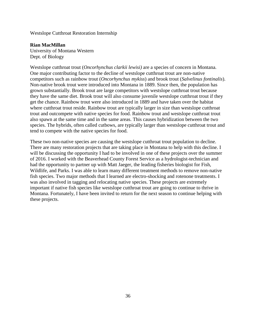Westslope Cutthroat Restoration Internship

#### **Rian MacMillan**

University of Montana Western Dept. of Biology

Westslope cutthroat trout (*Oncorhynchus clarkii lewisi)* are a species of concern in Montana. One major contributing factor to the decline of westslope cutthroat trout are non-native competitors such as rainbow trout (*Oncorhynchus mykiss*) and brook trout (*Salvelinus fontinalis*). Non-native brook trout were introduced into Montana in 1889. Since then, the population has grown substantially. Brook trout are large competitors with westslope cutthroat trout because they have the same diet. Brook trout will also consume juvenile westslope cutthroat trout if they get the chance. Rainbow trout were also introduced in 1889 and have taken over the habitat where cutthroat trout reside. Rainbow trout are typically larger in size than westslope cutthroat trout and outcompete with native species for food. Rainbow trout and westslope cutthroat trout also spawn at the same time and in the same areas. This causes hybridization between the two species. The hybrids, often called cutbows, are typically larger than westslope cutthroat trout and tend to compete with the native species for food.

These two non-native species are causing the westslope cutthroat trout population to decline. There are many restoration projects that are taking place in Montana to help with this decline. I will be discussing the opportunity I had to be involved in one of these projects over the summer of 2016. I worked with the Beaverhead County Forest Service as a hydrologist-technician and had the opportunity to partner up with Matt Jaeger, the leading fisheries biologist for Fish, Wildlife, and Parks. I was able to learn many different treatment methods to remove non-native fish species. Two major methods that I learned are electro-shocking and rotenone treatments. I was also involved in tagging and relocating native species. These projects are extremely important if native fish species like westslope cutthroat trout are going to continue to thrive in Montana. Fortunately, I have been invited to return for the next season to continue helping with these projects.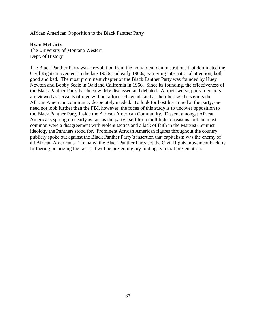African American Opposition to the Black Panther Party

#### **Ryan McCarty**

The University of Montana Western Dept. of History

The Black Panther Party was a revolution from the nonviolent demonstrations that dominated the Civil Rights movement in the late 1950s and early 1960s, garnering international attention, both good and bad. The most prominent chapter of the Black Panther Party was founded by Huey Newton and Bobby Seale in Oakland California in 1966. Since its founding, the effectiveness of the Black Panther Party has been widely discussed and debated. At their worst, party members are viewed as servants of rage without a focused agenda and at their best as the saviors the African American community desperately needed. To look for hostility aimed at the party, one need not look further than the FBI, however, the focus of this study is to uncover opposition to the Black Panther Party inside the African American Community. Dissent amongst African Americans sprung up nearly as fast as the party itself for a multitude of reasons, but the most common were a disagreement with violent tactics and a lack of faith in the Marxist-Leninist ideology the Panthers stood for. Prominent African American figures throughout the country publicly spoke out against the Black Panther Party's insertion that capitalism was the enemy of all African Americans. To many, the Black Panther Party set the Civil Rights movement back by furthering polarizing the races. I will be presenting my findings via oral presentation.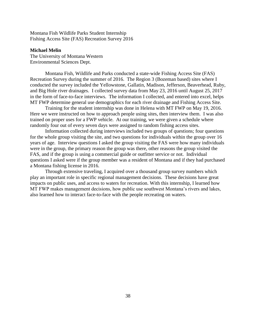Montana Fish Wildlife Parks Student Internship Fishing Access Site (FAS) Recreation Survey 2016

#### **Michael Melin**

The University of Montana Western Environmental Sciences Dept.

Montana Fish, Wildlife and Parks conducted a state-wide Fishing Access Site (FAS) Recreation Survey during the summer of 2016. The Region 3 (Bozeman based) sites where I conducted the survey included the Yellowstone, Gallatin, Madison, Jefferson, Beaverhead, Ruby, and Big Hole river drainages. I collected survey data from May 23, 2016 until August 25, 2017 in the form of face-to-face interviews. The information I collected, and entered into excel, helps MT FWP determine general use demographics for each river drainage and Fishing Access Site.

Training for the student internship was done in Helena with MT FWP on May 19, 2016. Here we were instructed on how to approach people using sites, then interview them. I was also trained on proper uses for a FWP vehicle. At our training, we were given a schedule where randomly four out of every seven days were assigned to random fishing access sites.

Information collected during interviews included two groups of questions; four questions for the whole group visiting the site, and two questions for individuals within the group over 16 years of age. Interview questions I asked the group visiting the FAS were how many individuals were in the group, the primary reason the group was there, other reasons the group visited the FAS, and if the group is using a commercial guide or outfitter service or not. Individual questions I asked were if the group member was a resident of Montana and if they had purchased a Montana fishing license in 2016.

Through extensive traveling, I acquired over a thousand group survey numbers which play an important role in specific regional management decisions. These decisions have great impacts on public uses, and access to waters for recreation. With this internship, I learned how MT FWP makes management decisions, how public use southwest Montana's rivers and lakes, also learned how to interact face-to-face with the people recreating on waters.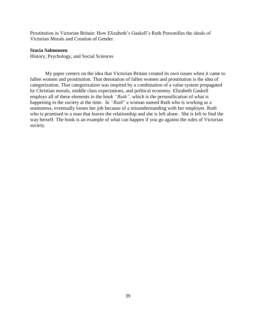Prostitution in Victorian Britain: How Elizabeth's Gaskell's Ruth Personifies the ideals of Victorian Morals and Creation of Gender.

#### **Stacia Salmonsen**

History, Psychology, and Social Sciences

My paper centers on the idea that Victorian Britain created its own issues when it came to fallen women and prostitution. That denotation of fallen women and prostitution is the idea of categorization. That categorization was inspired by a combination of a value system propagated by Christian morals, middle class expectations, and political economy. Elizabeth Gaskell employs all of these elements in the book *"Ruth",* which is the personification of what is happening in the society at the time. In *"Ruth*" a woman named Ruth who is working as a seamstress, eventually losses her job because of a misunderstanding with her employer. Ruth who is promised to a man that leaves the relationship and she is left alone. She is left to find the way herself. The book is an example of what can happen if you go against the rules of Victorian society.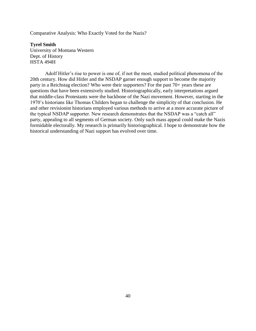Comparative Analysis: Who Exactly Voted for the Nazis?

**Tyrel Smith** University of Montana Western Dept. of History HSTA 494H

Adolf Hitler's rise to power is one of, if not the most, studied political phenomena of the 20th century. How did Hitler and the NSDAP garner enough support to become the majority party in a Reichstag election? Who were their supporters? For the past 70+ years these are questions that have been extensively studied. Historiographically, early interpretations argued that middle-class Protestants were the backbone of the Nazi movement. However, starting in the 1970's historians like Thomas Childers began to challenge the simplicity of that conclusion. He and other revisionist historians employed various methods to arrive at a more accurate picture of the typical NSDAP supporter. New research demonstrates that the NSDAP was a "catch all" party, appealing to all segments of German society. Only such mass appeal could make the Nazis formidable electorally. My research is primarily historiographical. I hope to demonstrate how the historical understanding of Nazi support has evolved over time.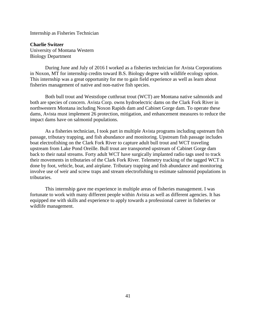Internship as Fisheries Technician

**Charlie Switzer** University of Montana Western Biology Department

During June and July of 2016 I worked as a fisheries technician for Avista Corporations in Noxon, MT for internship credits toward B.S. Biology degree with wildlife ecology option. This internship was a great opportunity for me to gain field experience as well as learn about fisheries management of native and non-native fish species.

Both bull trout and Weststlope cutthroat trout (WCT) are Montana native salmonids and both are species of concern. Avista Corp. owns hydroelectric dams on the Clark Fork River in northwestern Montana including Noxon Rapids dam and Cabinet Gorge dam. To operate these dams, Avista must implement 26 protection, mitigation, and enhancement measures to reduce the impact dams have on salmonid populations.

As a fisheries technician, I took part in multiple Avista programs including upstream fish passage, tributary trapping, and fish abundance and monitoring. Upstream fish passage includes boat electrofishing on the Clark Fork River to capture adult bull trout and WCT traveling upstream from Lake Pond Oreille. Bull trout are transported upstream of Cabinet Gorge dam back to their natal streams. Forty adult WCT have surgically implanted radio tags used to track their movements in tributaries of the Clark Fork River. Telemetry tracking of the tagged WCT is done by foot, vehicle, boat, and airplane. Tributary trapping and fish abundance and monitoring involve use of weir and screw traps and stream electrofishing to estimate salmonid populations in tributaries.

This internship gave me experience in multiple areas of fisheries management. I was fortunate to work with many different people within Avista as well as different agencies. It has equipped me with skills and experience to apply towards a professional career in fisheries or wildlife management.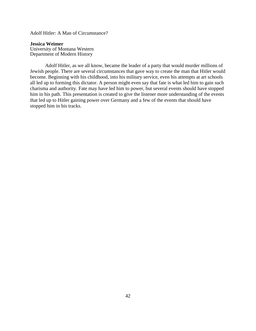Adolf Hitler: A Man of Circumstance?

**Jessica Weimer** University of Montana Western Department of Modern History

Adolf Hitler, as we all know, became the leader of a party that would murder millions of Jewish people. There are several circumstances that gave way to create the man that Hitler would become. Beginning with his childhood, into his military service, even his attempts at art schools all led up to forming this dictator. A person might even say that fate is what led him to gain such charisma and authority. Fate may have led him to power, but several events should have stopped him in his path. This presentation is created to give the listener more understanding of the events that led up to Hitler gaining power over Germany and a few of the events that should have stopped him in his tracks.